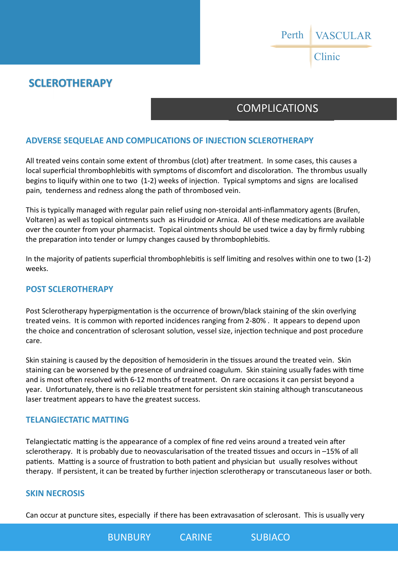## COMPLICATIONS

Perth

VASCULAR

Clinic

## **ADVERSE SEQUELAE AND COMPLICATIONS OF INJECTION SCLEROTHERAPY**

All treated veins contain some extent of thrombus (clot) after treatment. In some cases, this causes a local superficial thrombophlebitis with symptoms of discomfort and discoloration. The thrombus usually begins to liquify within one to two (1-2) weeks of injection. Typical symptoms and signs are localised pain, tenderness and redness along the path of thrombosed vein.

This is typically managed with regular pain relief using non-steroidal anti-inflammatory agents (Brufen, Voltaren) as well as topical ointments such as Hirudoid or Arnica. All of these medications are available over the counter from your pharmacist. Topical ointments should be used twice a day by firmly rubbing the preparation into tender or lumpy changes caused by thrombophlebitis.

In the majority of patients superficial thrombophlebitis is self limiting and resolves within one to two (1-2) weeks.

## **POST SCLEROTHERAPY**

Post Sclerotherapy hyperpigmentation is the occurrence of brown/black staining of the skin overlying treated veins. It is common with reported incidences ranging from 2-80% . It appears to depend upon the choice and concentration of sclerosant solution, vessel size, injection technique and post procedure care.

Skin staining is caused by the deposition of hemosiderin in the tissues around the treated vein. Skin staining can be worsened by the presence of undrained coagulum. Skin staining usually fades with time and is most often resolved with 6-12 months of treatment. On rare occasions it can persist beyond a year. Unfortunately, there is no reliable treatment for persistent skin staining although transcutaneous laser treatment appears to have the greatest success.

#### **TELANGIECTATIC MATTING**

Telangiectatic matting is the appearance of a complex of fine red veins around a treated vein after sclerotherapy. It is probably due to neovascularisation of the treated tissues and occurs in –15% of all patients. Matting is a source of frustration to both patient and physician but usually resolves without therapy. If persistent, it can be treated by further injection sclerotherapy or transcutaneous laser or both.

#### **SKIN NECROSIS**

Can occur at puncture sites, especially if there has been extravasation of sclerosant. This is usually very